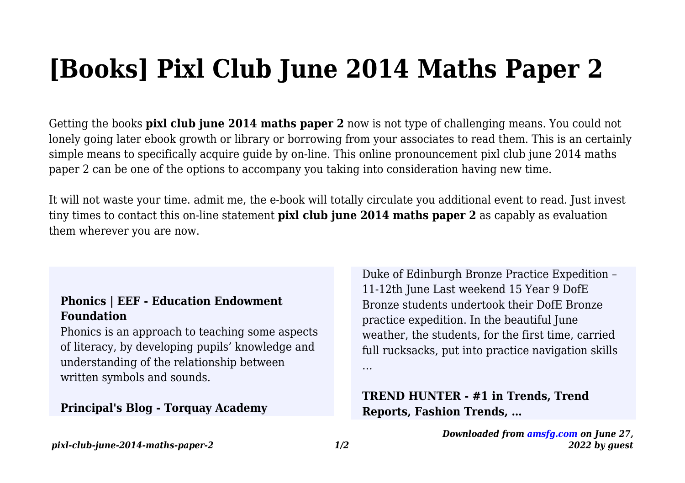# **[Books] Pixl Club June 2014 Maths Paper 2**

Getting the books **pixl club june 2014 maths paper 2** now is not type of challenging means. You could not lonely going later ebook growth or library or borrowing from your associates to read them. This is an certainly simple means to specifically acquire guide by on-line. This online pronouncement pixl club june 2014 maths paper 2 can be one of the options to accompany you taking into consideration having new time.

It will not waste your time. admit me, the e-book will totally circulate you additional event to read. Just invest tiny times to contact this on-line statement **pixl club june 2014 maths paper 2** as capably as evaluation them wherever you are now.

#### **Phonics | EEF - Education Endowment Foundation**

Phonics is an approach to teaching some aspects of literacy, by developing pupils' knowledge and understanding of the relationship between written symbols and sounds.

## **Principal's Blog - Torquay Academy**

Duke of Edinburgh Bronze Practice Expedition – 11-12th June Last weekend 15 Year 9 DofE Bronze students undertook their DofE Bronze practice expedition. In the beautiful June weather, the students, for the first time, carried full rucksacks, put into practice navigation skills

…

## **TREND HUNTER - #1 in Trends, Trend Reports, Fashion Trends, …**

*Downloaded from [amsfg.com](http://amsfg.com) on June 27, 2022 by guest*